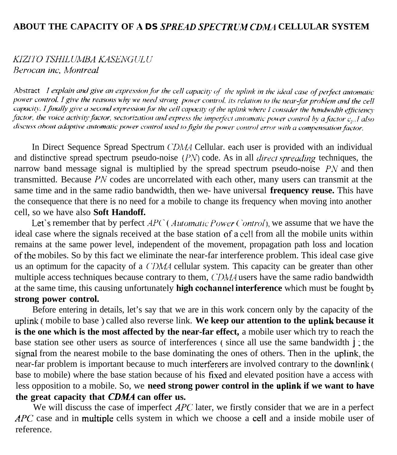## **ABOUT THE CAPACITY OF A** *DS SPREAD SPECTRLI;W CDM1* **CELLULAR SYSTEM**

## KIZITO TSHILUMBA KASENGULU Berocan inc, Montreal

Abstract I explain and give an expression for the cell capacity of the uplink in the ideal case of perfect automatic power control. I give the reasons why we need strong power control, its relation to the near-far problem and the cell capacity. I finally give a second expression for the cell capacity of the uplink where I consider the bandwidth efficiency factor, the voice activity factor, sectorization and express the imperfect automatic power control by a factor  $c_p$ . I also discuss about adaptive automatic power control used to fight the power control error with a compensation factor.

In Direct Sequence Spread Spectrum CDMA Cellular. each user is provided with an individual and distinctive spread spectrum pseudo-noise (PN) code. As in all *direct spreading* techniques, the narrow band message signal is multiplied by the spread spectrum pseudo-noise  $PN$  and then transmitted. Because  $PN$  codes are uncorrelated with each other, many users can transmit at the same time and in the same radio bandwidth, then we- have universal **frequency reuse.** This have the consequence that there is no need for a mobile to change its frequency when moving into another cell, so we have also **Soft Handoff.**

Let's remember that by perfect  $APC$  (*Automatic Power Control*), we assume that we have the ideal case where the signals received at the base station of <sup>a</sup> ceil from all the mobile units within remains at the same power level, independent of the movement, propagation path loss and location of the mobiles. So by this fact we eliminate the near-far interference problem. This ideal case give us an optimum for the capacity of a *CDMA* cellular system. This capacity can be greater than other multiple access techniques because contrary to them, CDMA users have the same radio bandwidth at the same time, this causing unfortunately **high cochannel interference** which must be fought by **strong power control.**

Before entering in details, let's say that we are in this work concern only by the capacity of the uplink (, mobile to base ) called also reverse link. **We keep our attention to the uplink because it is the one which is the most affected by the near-far effect,** a mobile user which try to reach the base station see other users as source of interferences (since all use the same bandwidth  $\mathbf{j}$ ; the signal from the nearest mobile to the base dominating the ones of others. Then in the uplink, the near-far problem is important because to much interferers are involved contrary to the downlink ( base to mobile) where the base station because of his tixed and elevated position have a access with less opposition to a mobile. So, we **need strong power control in the uptink if we want to have** the great capacity that *CDMA* can offer us.

We will discuss the case of imperfect  $APC$  later, we firstly consider that we are in a perfect APC case and in multiple cells system in which we choose a cell and a inside mobile user of reference.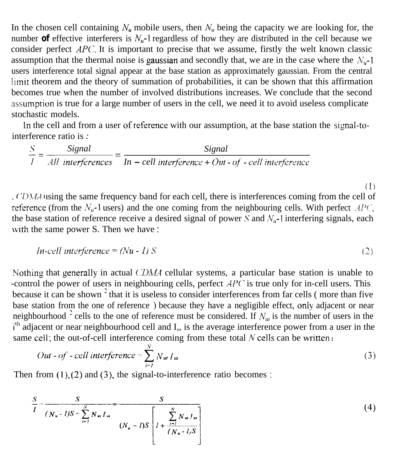In the chosen cell containing  $N_u$ , mobile users, then  $N_u$  being the capacity we are looking for, the number **of** effective interferers is  $N_u$ -1 regardless of how they are distributed in the cell because we consider perfect  $APC$ . It is important to precise that we assume, firstly the welt known classic assumption that the thermal noise is gaussian and secondly that, we are in the case where the  $N_{\mu}$ -1 users interference total signal appear at the base station as approximately gaussian. From the central limir theorem and the theory of summation of probabilities, it can be shown that this affirmation becomes true when the number of involved distributions increases. We conclude that the second assumption is true for a large number of users in the cell, we need it to avoid useless complicate stochastic models.

In the cell and from a user of reference with our assumption, at the base station the signal-tointerference ratio is *:*

 $\frac{S}{S} = \frac{Signal}{\sqrt{1 - (1 - n^2)}} = \frac{Signal}{\sqrt{1 - (1 - n^2)}}$  $\overline{I}$   $\overline{I}$   $\overline{I}$   $\overline{I}$   $\overline{I}$   $\overline{I}$   $\overline{I}$   $\overline{I}$   $\overline{I}$   $\overline{I}$   $\overline{I}$   $\overline{I}$   $\overline{I}$   $\overline{I}$   $\overline{I}$   $\overline{I}$   $\overline{I}$   $\overline{I}$   $\overline{I}$   $\overline{I}$   $\overline{I}$   $\overline{I}$   $\overline{I}$   $\overline{I}$   $\overline{$ 

( 'D.IL-l using the same frequency band for each cell, there is interferences coming from the cell of reference (from the  $N_{\mu}$ -l users) and the one coming from the neighbouring cells. With perfect  $AP(\cdot)$ , the base station of reference receive a desired signal of power S and  $N_{\mu}$ -I interfering signals, each with the same power S. Then we have :

$$
In-cell interference = (Nu - 1) S
$$
 (2)

(1)

Nothing that generally in actual CDMA cellular systems, a particular base station is unable to -control the power of users in neighbouring cells, perfect  $APC$  is true only for in-cell users. This because it can be shown<sup>2</sup> that it is useless to consider interferences from far cells (more than five base station from the one of reference ) because they have a negligible effect, only adjacent or near neighbourhood <sup>2</sup> cells to the one of reference must be considered. If  $N_{ui}$  is the number of users in the i<sup>th</sup> adjacent or near neighbourhood cell and I,, is the average interference power from a user in the same cell; the out-of-cell interference coming from these total N cells can be written :

$$
Out - of - cell interference = \sum_{i=1}^{N} N_{ui} I_{ui}
$$
 (3)

Then from  $(1)$ ,  $(2)$  and  $(3)$ , the signal-to-interference ratio becomes :

$$
\frac{S}{I} = \frac{S}{(N_u - I)S + \sum_{i=1}^{N} N_{ui} I_{ui}} \qquad (4)
$$
\n
$$
(N_u - I)S \left[ I + \frac{\sum_{i=1}^{N} N_{ui} I_{ui}}{(N_u - I)S} \right]
$$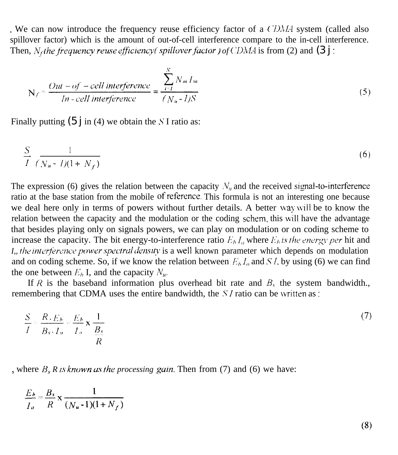. We can now introduce the frequency reuse efficiency factor of a  $\ell$  DMA system (called also spillover factor) which is the amount of out-of-cell interference compare to the in-cell interference. Then,  $N_f$ *the frequency reuse efficiency*(*spillover factor ) of CDMA* is from (2) and (3 j :

$$
N_f \approx \frac{Out - of - cell interference}{In - cell interference} = \frac{\sum_{i=1}^{N} N_{ni} I_{ni}}{(N_u - I)S}
$$
(5)

Finally putting  $(5 \text{ i} \text{ in } (4)$  we obtain the S I ratio as:

$$
\frac{S}{I} \frac{1}{(N_u - I)(1 + N_f)}
$$
\n
$$
(6)
$$

The expression (6) gives the relation between the capacity  $N<sub>u</sub>$  and the received signal-to-interference ratio at the base station from the mobile **of** reference. This formula is not an interesting one because we deal here only in terms of powers without further details. A better way will be to know the relation between the capacity and the modulation or the coding schem, this will have the advantage that besides playing only on signals powers, we can play on modulation or on coding scheme to increase the capacity. The bit energy-to-interference ratio  $E<sub>b</sub>I<sub>a</sub>$ , where  $E<sub>b</sub>$  is the energy per hit and *I,, the interference power spectral density* is a well known parameter which depends on modulation and on coding scheme. So, if we know the relation between  $E_b I_o$  and S I, by using (6) we can find the one between  $E<sub>b</sub>$  I, and the capacity  $N<sub>n</sub>$ .

If R is the baseband information plus overhead bit rate and  $B<sub>s</sub>$  the system bandwidth. remembering that CDMA uses the entire bandwidth, the  $SI$  ratio can be written as :

$$
\frac{S}{I} = \frac{R.E_b}{B_s \cdot I_o} = \frac{E_b}{I_o} \times \frac{1}{\frac{B_s}{R}}
$$
\n(7)

, where  $B_s R$  *is known as the processing gain*. Then from (7) and (6) we have:

$$
\frac{E_b}{I_o} = \frac{B_s}{R} \times \frac{1}{(N_u-1)(1+N_f)}
$$

 $(8)$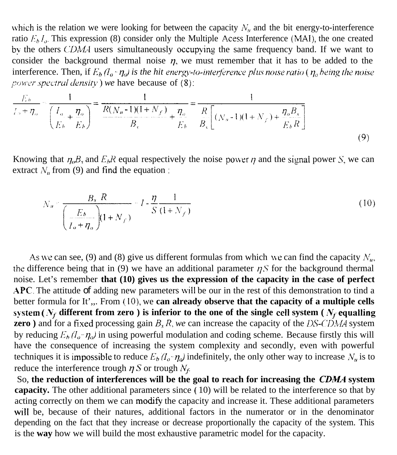which is the relation we were looking for between the capacity  $N_{\mu}$  and the bit energy-to-interference ratio  $E<sub>b</sub> l<sub>o</sub>$ . This expression (8) consider only the Multiple Acess Interference (MAI), the one created by the others CDMA users simultaneously occupying the same frequency band. If we want to consider the background thermal noise  $\eta$ , we must remember that it has to be added to the interference. Then, if  $E_b/l_o \rightharpoonup \eta_o$ *) is the hit energy-to-interference plus noise ratio* ( $\eta_o$  *being the noise power spectral density ) we have because of (8):* 

$$
\frac{E_b}{I_a + \eta_o} - \frac{1}{\left(\frac{I_o}{E_b} + \frac{\eta_o}{E_b}\right)} = \frac{1}{\frac{R(N_u - 1)(1 + N_f)}{B_s} + \frac{\eta_o}{E_b}} = \frac{1}{\frac{R}{B_s}\left[(N_u - 1)(1 + N_f) + \frac{\eta_o B_s}{E_b R}\right]}
$$
(9)

Knowing that  $\eta_o B_s$  and  $E_b R$  equal respectively the noise power  $\eta$  and the signal power S, we can extract  $N_u$  from (9) and find the equation :

$$
N_n = \frac{B_s \cdot R}{\left(\frac{E_b}{I_o + \eta_o}\right) (1 + N_f)} - 1 - \frac{\eta}{S} \frac{1}{(1 + N_f)}
$$
(10)

As we can see, (9) and (8) give us different formulas from which we can find the capacity  $N_{u}$ , the difference being that in (9) we have an additional parameter  $\eta S$  for the background thermal noise. Let's remember **that (10) gives us the expression of the capacity in the case of perfect** APC. The attitude of adding new parameters will be our in the rest of this demonstration to tind a better formula for It',,. From ( IO), we **can already observe that the capacity of a multiple cells** system ( $N_f$  different from zero ) is inferior to the one of the single cell system ( $N_f$ - equalling **zero**) and for a fixed processing gain  $B_s R$ , we can increase the capacity of the DS-CDMA system by reducing  $E_b / (I_a - \eta_o)$  in using powerful modulation and coding scheme. Because firstly this will have the consequence of increasing the system complexity and secondly, even with powerful techniques it is impossible to reduce  $E_b/I_a \eta_a$  indefinitely, the only other way to increase  $N_a$  is to reduce the interference trough  $\eta S$  or trough  $N_f$ .

So, the reduction of interferences will be the goal to reach for increasing the *CDMA* system **capacity.** The other additional parameters since ( 10) will be related to the interference so that by acting correctly on them we can modify the capacity and increase it. These additional parameters will be, because of their natures, additional factors in the numerator or in the denominator depending on the fact that they increase or decrease proportionally the capacity of the system. This is the **way** how we will build the most exhaustive parametric model for the capacity.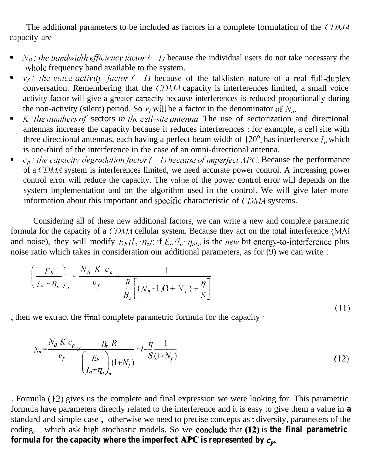The additional parameters to be included as factors in a complete formulation of the (*DMA* capacity are :

- $N_B$ : the bandwidth efficiency factor ( $\cdot$  I) because the individual users do not take necessary the whole frequency band available to the system.
- $v_i$ : the voice activity factor (1) because of the talklisten nature of a real full-duplex conversation. Remembering that the  $CDMA$  capacity is interferences limited, a small voice activity factor will give a greater capacity because interferences is reduced proportionally during the non-activity (silent) period. So  $v_f$  will be a factor in the denominator of  $N_u$ .
- K: the numbers of **sectors** in the cell-site antenna. The use of sectorization and directional × antennas increase the capacity because it reduces interferences ; for example, a ceII site with three directional antennas, each having a perfect beam width of  $120^\circ$ , has interference  $I_0$  which is one-third of the interference in the case of an omni-directional antenna.
- $c_p$ : *Ihe capacity degradation factor* (*1) because of imperfect APC*. Because the performance of a CDMA system is interferences limited, we need accurate power control. A increasing power control error will reduce the capacity. The value of the power control error will depends on the system implementation and on the algorithm used in the control. We will give later more information about this important and specific characteristic of  $CDMA$  systems.

Considering all of these new additional factors, we can write a new and complete parametric formula for the capacity of a CDMA cellular system. Because they act on the total interference (MAI and noise), they will modify  $E_b/I_a, \eta_a$ ; if  $E_b/I_a, \eta_aI_n$  is the new bit energy-to-interference plus noise ratio which takes in consideration our additional parameters, as for (9) we can write :

$$
\left(\frac{E_b}{I_o + \eta_o}\right)_u = \frac{N_B K c_p}{v_f} \times \frac{1}{\frac{R}{B_s} \left[ (N_u - 1)(1 + N_f) + \frac{\eta}{S} \right]}
$$
\n(11)

. then we extract the final complete parametric formula for the capacity :

$$
N_{u} = \frac{N_{B} K c_{p}}{v_{f}} \times \frac{B_{s} R}{\left(\frac{E_{b}}{I_{o} + \eta_{o}}\right)_{n} (1 + N_{f})} - I - \frac{\eta}{S} \frac{1}{(1 + N_{f})}
$$
(12)

. Formula ( 12) gives us the complete and final expression we were looking for. This parametric formula have parameters directly related to the interference and it is easy to give them a value in **a** standard and simple case ; otherwise we need to precise concepts as : diversity, parameters of the coding,.. which ask high stochastic models. So we **conclude** that (12) is **the final parametric formula for the capacity where the imperfect APC is represented by**  $c_p$ **.**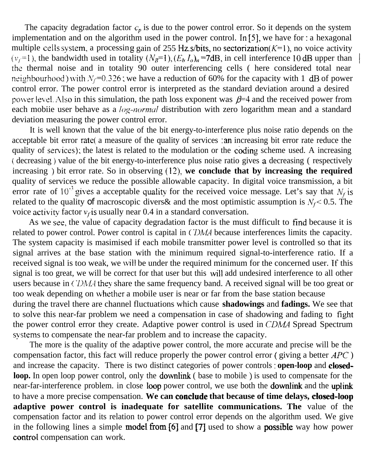The capacity degradation factor  $c_p$  is due to the power control error. So it depends on the system implementation and on the algorithm used in the power control. In [5], we have for : a hexagonal multiple cells system, a processing gain of 255 Hz.s/bits, no sectorization( $K=1$ ), no voice activity  $(v_i=1)$ , the bandwidth used in totality  $(N_B=1)$ ,  $(E_b I_o)_n = 7dB$ , in cell interference 10 dB upper than the thermal noise and in totality 90 outer interferencing cells ( here considered total near neighbourhood) with  $N_f=0.326$ ; we have a reduction of 60% for the capacity with 1 dB of power control error. The power control error is interpreted as the standard deviation around a desired power level. Also in this simulation, the path loss exponent was  $\beta=4$  and the received power from each mobiie user behave as a  $log-normal$  distribution with zero logarithm mean and a standard deviation measuring the power control error.

It is well known that the value of the bit energy-to-interference plus noise ratio depends on the acceptable bit error rate( a measure of the quality of services : an increasing bit error rate reduce the quality of services), the latest is related to the modulation or the coding scheme used. A increasing ( decreasing ) value of the bit energy-to-interference plus noise ratio gives a decreasing ( respectively increasing ) bit error rate. So in observing **(13): we conclude that by increasing the required** quality of services we reduce the possible allowable capacity. In digital voice transmission, a bit error rate of  $10^{-3}$  gives a acceptable quality for the received voice message. Let's say that  $N_f$  is related to the quality of macroscopic divers & and the most optimistic assumption is  $N_f$  < 0.5. The voice activity factor  $v_f$  is usually near 0.4 in a standard conversation.

As we see, the value of capacity degradation factor is the must difficult to find because it is related to power control. Power control is capital in CDMA because interferences limits the capacity. The system capacity is masimised if each mobile transmitter power level is controlled so that its signal arrives at the base station with the minimum required signal-to-interference ratio. If a received signal is too weak, we will be under the required minimum for the concerned user. If this signal is too great, we will be correct for that user but this will add undesired interference to all other users because in CDMA they share the same frequency band. A received signal will be too great or too weak depending on whether a mobile user is near or far from the base station because during the travel there are channel fluctuations which cause **shadowings** and **fadings.** We see that

to solve this near-far problem we need a compensation in case of shadowing and fading to fight the power control error they create. Adaptive power control is used in CDMA Spread Spectrum systems to compensate the near-far problem and to increase the capacity.

The more is the quality of the adaptive power control, the more accurate and precise will be the compensation factor, this fact will reduce properly the power control error ( giving a better  $APC$  ) and increase the capacity. There is two distinct categories of power controls : **open-loop** and closed**loop.** In open loop power control, only the **downlink** ( base to mobile ) is used to compensate for the near-far-interference problem. in close loop power control, we use both the downlink and the uplink to have a more precise compensation. **We can concfude that because of time delays, closed-toop adaptive power control is inadequate for satellite communications. The** value of the compensation factor and its relation to power control error depends on the algorithm used. We give in the following lines a simple **model from [6]** and [7] used to show a **possible** way how power control compensation can work.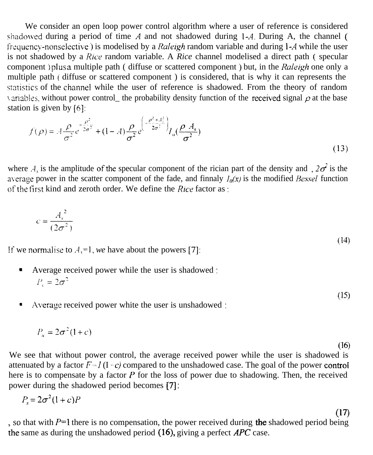We consider an open loop power control algorithm where a user of reference is considered shadowed during a period of time  $A$  and not shadowed during 1-A. During A, the channel ( frequency-nonselective) is modelised by a *Raleigh* random variable and during 1-A while the user is not shadowed by a *Rice* random variable. A *Rice* channel modelised a direct path ( specular component ) plus a multiple path ( diffuse or scattered component ) but, in the *Raleigh* one only a multiple path ( diffuse or scattered component ) is considered, that is why it can represents the sraristics of the channei while the user of reference is shadowed. From the theory of random variables, without power control\_ the probability density function of the received signal  $\rho$  at the base station is given by [6j:

$$
f(\rho) = A \frac{\rho}{\sigma^2} e^{-\frac{\rho^2}{2\sigma^2}} + (1 - A) \frac{\rho}{\sigma^2} e^{-\left(\frac{\rho^2 + A_s^2}{2\sigma^2}\right)} I_o(\frac{\rho A_s}{\sigma^2})
$$
\n(13)

where A, is the amplitude of the specular component of the rician part of the density and ,  $2\sigma^2$  is the average power in the scatter component of the fade, and finnaly  $I_0(x)$  is the modified Bessel function of the first kind and zeroth order. We define the *Rice* factor as :

$$
c = \frac{A_s^2}{(2\sigma^2)}
$$

(14)

 $(15)$ 

 $(16)$ 

(17)

If we normalise to  $A<sub>s</sub>=1$ , we have about the powers [7]:

- <sup>a</sup> Average received power while the user is shadowed :  $P_{\rm c}=2\sigma^2$
- Average received power white the user is unshadowed :

$$
P_u = 2\sigma^2 (1+c)
$$

We see that without power control, the average received power while the user is shadowed is attenuated by a factor  $F-I (I-c)$  compared to the unshadowed case. The goal of the power control here is to compensate by a factor  $P$  for the loss of power due to shadowing. Then, the received power during the shadowed period becomes [7] :

$$
P_s = 2\sigma^2 (1+c)P
$$

, so that with  $P=1$  there is no compensation, the power received during the shadowed period being the same as during the unshadowed period (16), giving a perfect  $APC$  case.